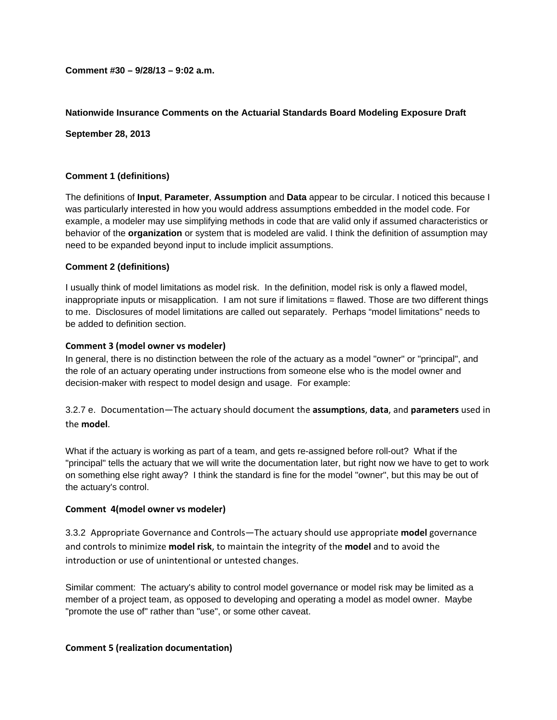**Comment #30 – 9/28/13 – 9:02 a.m.** 

# **Nationwide Insurance Comments on the Actuarial Standards Board Modeling Exposure Draft**

**September 28, 2013** 

# **Comment 1 (definitions)**

The definitions of **Input**, **Parameter**, **Assumption** and **Data** appear to be circular. I noticed this because I was particularly interested in how you would address assumptions embedded in the model code. For example, a modeler may use simplifying methods in code that are valid only if assumed characteristics or behavior of the **organization** or system that is modeled are valid. I think the definition of assumption may need to be expanded beyond input to include implicit assumptions.

# **Comment 2 (definitions)**

I usually think of model limitations as model risk. In the definition, model risk is only a flawed model, inappropriate inputs or misapplication. I am not sure if limitations = flawed. Those are two different things to me. Disclosures of model limitations are called out separately. Perhaps "model limitations" needs to be added to definition section.

### **Comment 3 (model owner vs modeler)**

In general, there is no distinction between the role of the actuary as a model "owner" or "principal", and the role of an actuary operating under instructions from someone else who is the model owner and decision-maker with respect to model design and usage. For example:

3.2.7 e. Documentation—The actuary should document the **assumptions**, **data**, and **parameters** used in the **model**.

What if the actuary is working as part of a team, and gets re-assigned before roll-out? What if the "principal" tells the actuary that we will write the documentation later, but right now we have to get to work on something else right away? I think the standard is fine for the model "owner", but this may be out of the actuary's control.

# **Comment 4(model owner vs modeler)**

3.3.2 Appropriate Governance and Controls—The actuary should use appropriate **model** governance and controls to minimize **model risk**, to maintain the integrity of the **model** and to avoid the introduction or use of unintentional or untested changes.

Similar comment: The actuary's ability to control model governance or model risk may be limited as a member of a project team, as opposed to developing and operating a model as model owner. Maybe "promote the use of" rather than "use", or some other caveat.

# **Comment 5 (realization documentation)**